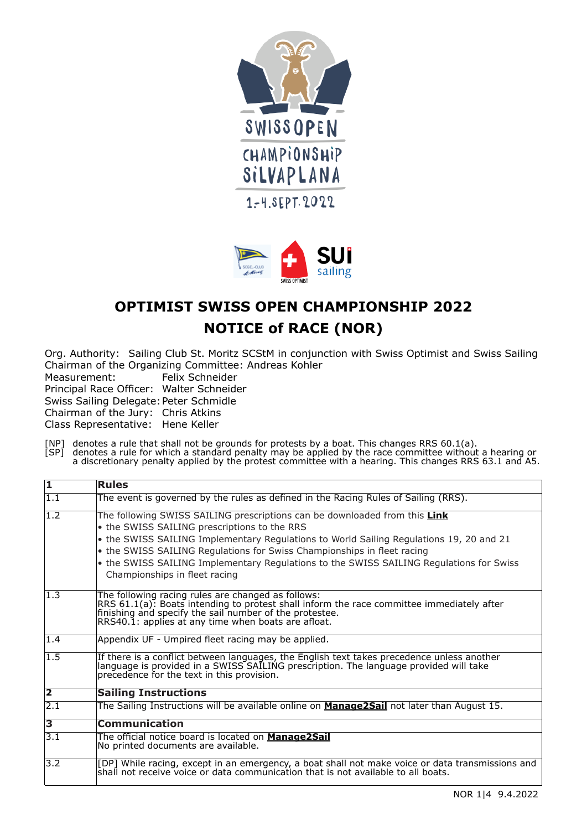



## **OPTIMIST SWISS OPEN CHAMPIONSHIP 2022 NOTICE of RACE (NOR)**

Org. Authority: Sailing Club St. Moritz SCStM in conjunction with Swiss Optimist and Swiss Sailing Chairman of the Organizing Committee: Andreas Kohler

Felix Schneider

Principal Race Officer: Walter Schneider

Swiss Sailing Delegate: Peter Schmidle

Chairman of the Jury: Chris Atkins

Class Representative: Hene Keller

[NP] denotes a rule that shall not be grounds for protests by a boat. This changes RRS 60.1(a).

[SP] denotes a rule for which a standard penalty may be applied by the race committee without a hearing or a discretionary penalty applied by the protest committee with a hearing. This changes RRS 63.1 and A5.

| $\overline{\mathbf{1}}$ | <b>Rules</b>                                                                                                                                                                                                                                                                                                                                                                                                           |
|-------------------------|------------------------------------------------------------------------------------------------------------------------------------------------------------------------------------------------------------------------------------------------------------------------------------------------------------------------------------------------------------------------------------------------------------------------|
| $\overline{1.1}$        | The event is governed by the rules as defined in the Racing Rules of Sailing (RRS).                                                                                                                                                                                                                                                                                                                                    |
| $\overline{1.2}$        | The following SWISS SAILING prescriptions can be downloaded from this Link<br>• the SWISS SAILING prescriptions to the RRS<br>the SWISS SAILING Implementary Regulations to World Sailing Regulations 19, 20 and 21<br>the SWISS SAILING Regulations for Swiss Championships in fleet racing<br>the SWISS SAILING Implementary Regulations to the SWISS SAILING Regulations for Swiss<br>Championships in fleet racing |
| $\overline{1.3}$        | The following racing rules are changed as follows:<br>RRS 61.1(a): Boats intending to protest shall inform the race committee immediately after<br>finishing and specify the sail number of the protestee.<br>RRS40.1: applies at any time when boats are afloat.                                                                                                                                                      |
| $\overline{1.4}$        | Appendix UF - Umpired fleet racing may be applied.                                                                                                                                                                                                                                                                                                                                                                     |
| $\overline{1.5}$        | If there is a conflict between languages, the English text takes precedence unless another<br>language is provided in a SWISS SAILING prescription. The language provided will take<br>precedence for the text in this provision.                                                                                                                                                                                      |
| $\overline{2}$          | <b>Sailing Instructions</b>                                                                                                                                                                                                                                                                                                                                                                                            |
| $\overline{2.1}$        | The Sailing Instructions will be available online on <b>Manage2Sail</b> not later than August 15.                                                                                                                                                                                                                                                                                                                      |
| $\overline{\mathbf{3}}$ | <b>Communication</b>                                                                                                                                                                                                                                                                                                                                                                                                   |
| $\overline{3.1}$        | The official notice board is located on <b>Manage2Sail</b><br>No printed documents are available.                                                                                                                                                                                                                                                                                                                      |
| $\overline{3.2}$        | [DP] While racing, except in an emergency, a boat shall not make voice or data transmissions and<br>shall not receive voice or data communication that is not available to all boats.                                                                                                                                                                                                                                  |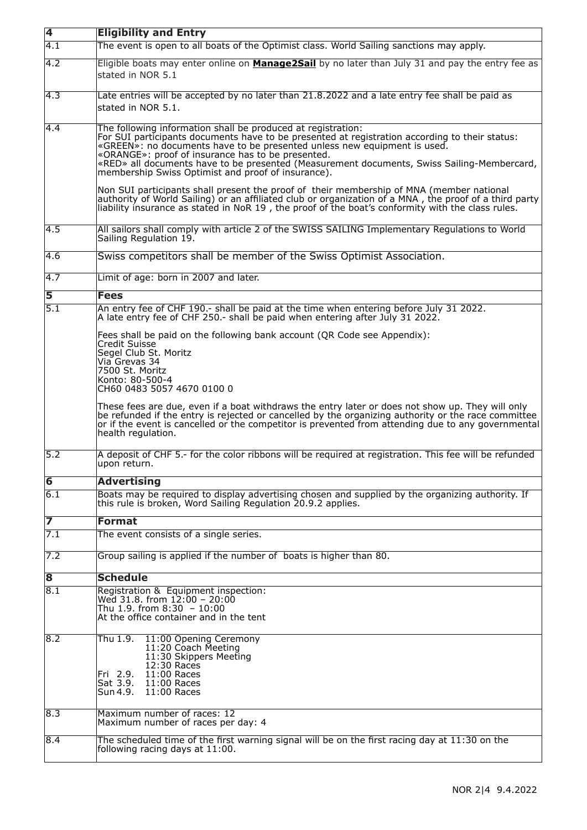| $\overline{\mathbf{4}}$ | <b>Eligibility and Entry</b>                                                                                                                                                                                                                                                                                                                                                                                                                                                                                                                                                                                                                                                                                                                                   |
|-------------------------|----------------------------------------------------------------------------------------------------------------------------------------------------------------------------------------------------------------------------------------------------------------------------------------------------------------------------------------------------------------------------------------------------------------------------------------------------------------------------------------------------------------------------------------------------------------------------------------------------------------------------------------------------------------------------------------------------------------------------------------------------------------|
| $\overline{4.1}$        | The event is open to all boats of the Optimist class. World Sailing sanctions may apply.                                                                                                                                                                                                                                                                                                                                                                                                                                                                                                                                                                                                                                                                       |
| $\overline{4.2}$        | Eligible boats may enter online on <b>Manage2Sail</b> by no later than July 31 and pay the entry fee as<br>stated in NOR 5.1                                                                                                                                                                                                                                                                                                                                                                                                                                                                                                                                                                                                                                   |
| 4.3                     | Late entries will be accepted by no later than 21.8.2022 and a late entry fee shall be paid as<br>stated in NOR 5.1.                                                                                                                                                                                                                                                                                                                                                                                                                                                                                                                                                                                                                                           |
| 4.4                     | The following information shall be produced at registration:<br>For SUI participants documents have to be presented at registration according to their status:<br>«GREEN»: no documents have to be presented unless new equipment is used.<br>«ORANGE»: proof of insurance has to be presented.<br>«RED» all documents have to be presented (Measurement documents, Swiss Sailing-Membercard,<br>membership Swiss Optimist and proof of insurance).<br>Non SUI participants shall present the proof of their membership of MNA (member national<br>authority of World Sailing) or an affiliated club or organization of a MNA, the proof of a third party<br>liability insurance as stated in NoR 19, the proof of the boat's conformity with the class rules. |
| 4.5                     | All sailors shall comply with article 2 of the SWISS SAILING Implementary Regulations to World<br>Sailing Regulation 19.                                                                                                                                                                                                                                                                                                                                                                                                                                                                                                                                                                                                                                       |
| 4.6                     | Swiss competitors shall be member of the Swiss Optimist Association.                                                                                                                                                                                                                                                                                                                                                                                                                                                                                                                                                                                                                                                                                           |
| 4.7                     | Limit of age: born in 2007 and later.                                                                                                                                                                                                                                                                                                                                                                                                                                                                                                                                                                                                                                                                                                                          |
| 5                       | <b>Fees</b>                                                                                                                                                                                                                                                                                                                                                                                                                                                                                                                                                                                                                                                                                                                                                    |
| 5.1                     | An entry fee of CHF 190.- shall be paid at the time when entering before July 31 2022.<br>A late entry fee of CHF 250.- shall be paid when entering after July 31 2022.                                                                                                                                                                                                                                                                                                                                                                                                                                                                                                                                                                                        |
|                         | Fees shall be paid on the following bank account (QR Code see Appendix):<br>Credit Suisse<br>Segel Club St. Moritz<br>Via Grevas 34<br>7500 St. Moritz<br>Konto: 80-500-4<br>CH60 0483 5057 4670 0100 0<br>These fees are due, even if a boat withdraws the entry later or does not show up. They will only<br>be refunded if the entry is rejected or cancelled by the organizing authority or the race committee<br>or if the event is cancelled or the competitor is prevented from attending due to any governmental<br>health regulation.                                                                                                                                                                                                                 |
| 5.2                     | A deposit of CHF 5.- for the color ribbons will be required at registration. This fee will be refunded<br>upon return.                                                                                                                                                                                                                                                                                                                                                                                                                                                                                                                                                                                                                                         |
| $\overline{6}$          | <b>Advertising</b>                                                                                                                                                                                                                                                                                                                                                                                                                                                                                                                                                                                                                                                                                                                                             |
| 6.1                     | Boats may be required to display advertising chosen and supplied by the organizing authority. If<br>this rule is broken, Word Sailing Regulation 20.9.2 applies.                                                                                                                                                                                                                                                                                                                                                                                                                                                                                                                                                                                               |
| 7                       | <b>Format</b>                                                                                                                                                                                                                                                                                                                                                                                                                                                                                                                                                                                                                                                                                                                                                  |
| 7.1                     | The event consists of a single series.                                                                                                                                                                                                                                                                                                                                                                                                                                                                                                                                                                                                                                                                                                                         |
| 7.2                     | Group sailing is applied if the number of boats is higher than 80.                                                                                                                                                                                                                                                                                                                                                                                                                                                                                                                                                                                                                                                                                             |
| $\overline{\mathbf{8}}$ | <b>Schedule</b>                                                                                                                                                                                                                                                                                                                                                                                                                                                                                                                                                                                                                                                                                                                                                |
| $\overline{8.1}$        | Registration & Equipment inspection:<br>Wed 31.8. from $12:00 - 20:00$<br>Thu 1.9. from 8:30 - 10:00<br>At the office container and in the tent                                                                                                                                                                                                                                                                                                                                                                                                                                                                                                                                                                                                                |
| 8.2                     | Thu 1.9. 11:00 Opening Ceremony<br>11:20 Coach Meeting<br>11:30 Skippers Meeting<br>12:30 Races<br>Fri 2.9. 11:00 Races<br>Sat 3.9. 11:00 Races<br>Sun 4.9.  11:00 Races                                                                                                                                                                                                                                                                                                                                                                                                                                                                                                                                                                                       |
| 8.3                     | Maximum number of races: 12<br>Maximum number of races per day: 4                                                                                                                                                                                                                                                                                                                                                                                                                                                                                                                                                                                                                                                                                              |
| 8.4                     | The scheduled time of the first warning signal will be on the first racing day at 11:30 on the<br>following racing days at 11:00.                                                                                                                                                                                                                                                                                                                                                                                                                                                                                                                                                                                                                              |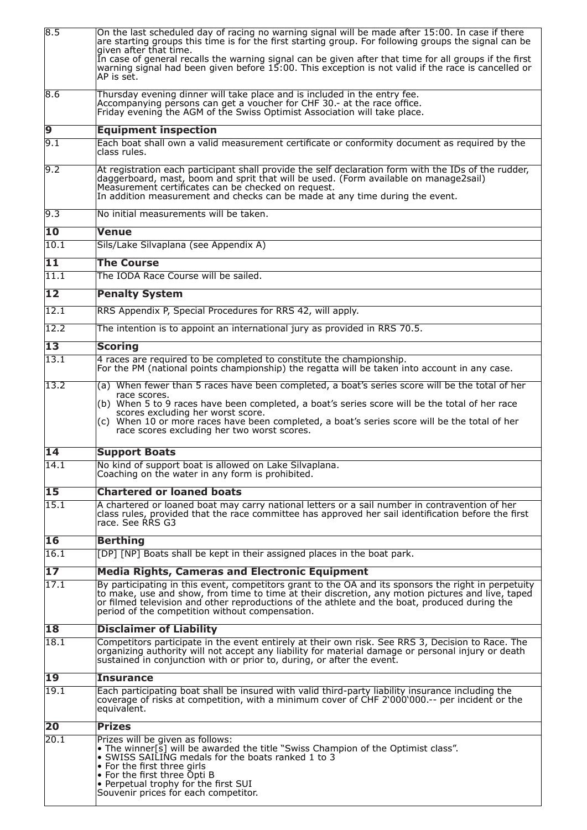| 8.5                      | On the last scheduled day of racing no warning signal will be made after 15:00. In case if there<br>are starting groups this time is for the first starting group. For following groups the signal can be<br>qiven after that time.<br>In case of general recalls the warning signal can be given after that time for all groups if the first<br>warning signal had been given before 15:00. This exception is not valid if the race is cancelled or<br>AP is sēt. |
|--------------------------|--------------------------------------------------------------------------------------------------------------------------------------------------------------------------------------------------------------------------------------------------------------------------------------------------------------------------------------------------------------------------------------------------------------------------------------------------------------------|
| 8.6                      | Thursday evening dinner will take place and is included in the entry fee.<br>Accompanying persons can get a voucher for CHF 30 - at the race office.<br>Friday evening the AGM of the Swiss Optimist Association will take place.                                                                                                                                                                                                                                  |
| $\overline{9}$           | <b>Equipment inspection</b>                                                                                                                                                                                                                                                                                                                                                                                                                                        |
| 9.1                      | Each boat shall own a valid measurement certificate or conformity document as required by the<br>class rules.                                                                                                                                                                                                                                                                                                                                                      |
| 9.2                      | At registration each participant shall provide the self declaration form with the IDs of the rudder,<br>daggerboard, mast, boom and sprit that will be used. (Form available on manage2sail)<br>Measurement certificates can be checked on request.<br>In addition measurement and checks can be made at any time during the event.                                                                                                                                |
| 9.3                      | No initial measurements will be taken.                                                                                                                                                                                                                                                                                                                                                                                                                             |
| $\overline{10}$          | <b>Venue</b>                                                                                                                                                                                                                                                                                                                                                                                                                                                       |
| 10.1                     | Sils/Lake Silvaplana (see Appendix A)                                                                                                                                                                                                                                                                                                                                                                                                                              |
| $\overline{11}$          | <b>The Course</b>                                                                                                                                                                                                                                                                                                                                                                                                                                                  |
| 11.1                     | The IODA Race Course will be sailed.                                                                                                                                                                                                                                                                                                                                                                                                                               |
| $\overline{12}$          | <b>Penalty System</b>                                                                                                                                                                                                                                                                                                                                                                                                                                              |
| 12.1                     | RRS Appendix P, Special Procedures for RRS 42, will apply.                                                                                                                                                                                                                                                                                                                                                                                                         |
| $\overline{12.2}$        | The intention is to appoint an international jury as provided in RRS 70.5.                                                                                                                                                                                                                                                                                                                                                                                         |
|                          |                                                                                                                                                                                                                                                                                                                                                                                                                                                                    |
| $\overline{13}$          | <b>Scoring</b>                                                                                                                                                                                                                                                                                                                                                                                                                                                     |
| 13.1                     | 4 races are required to be completed to constitute the championship.<br>For the PM (national points championship) the regatta will be taken into account in any case.                                                                                                                                                                                                                                                                                              |
| 13.2                     | (a) When fewer than 5 races have been completed, a boat's series score will be the total of her<br>race scores.<br>(b) When 5 to 9 races have been completed, a boat's series score will be the total of her race<br>scores excluding her worst score.<br>(c) When 10 or more races have been completed, a boat's series score will be the total of her<br>race scores excluding her two worst scores.                                                             |
| $\overline{14}$          | <b>Support Boats</b>                                                                                                                                                                                                                                                                                                                                                                                                                                               |
| 14.1                     | No kind of support boat is allowed on Lake Silvaplana.<br>Coaching on the water in any form is prohibited.                                                                                                                                                                                                                                                                                                                                                         |
| 15                       | <b>Chartered or loaned boats</b>                                                                                                                                                                                                                                                                                                                                                                                                                                   |
| 15.1                     | A chartered or loaned boat may carry national letters or a sail number in contravention of her<br>class rules, provided that the race committee has approved her sail identification before the first<br>race. See RRS G3                                                                                                                                                                                                                                          |
| $\overline{\mathbf{16}}$ | <b>Berthing</b>                                                                                                                                                                                                                                                                                                                                                                                                                                                    |
| 16.1                     | [DP] [NP] Boats shall be kept in their assigned places in the boat park.                                                                                                                                                                                                                                                                                                                                                                                           |
| $\overline{17}$          | <b>Media Rights, Cameras and Electronic Equipment</b>                                                                                                                                                                                                                                                                                                                                                                                                              |
| 17.1                     | By participating in this event, competitors grant to the OA and its sponsors the right in perpetuity<br>to make, use and show, from time to time at their discretion, any motion pictures and live, taped<br>or filmed television and other reproductions of the athlete and the boat, produced during the<br>period of the competition without compensation.                                                                                                      |
| 18                       | <b>Disclaimer of Liability</b>                                                                                                                                                                                                                                                                                                                                                                                                                                     |
| 18.1                     | Competitors participate in the event entirely at their own risk. See RRS 3, Decision to Race. The<br>organizing authority will not accept any liability for material damage or personal injury or death<br>sustained in conjunction with or prior to, during, or after the event.                                                                                                                                                                                  |
| 19                       | <b>Insurance</b>                                                                                                                                                                                                                                                                                                                                                                                                                                                   |
| 19.1                     | Each participating boat shall be insured with valid third-party liability insurance including the<br>coverage of risks at competition, with a minimum cover of CHF 2`000`000.-- per incident or the<br>lequivalent.                                                                                                                                                                                                                                                |
| 20                       | <b>Prizes</b>                                                                                                                                                                                                                                                                                                                                                                                                                                                      |
| 20.1                     | Prizes will be given as follows:<br>• The winner[s] will be awarded the title "Swiss Champion of the Optimist class".<br>• SWISS SAILING medals for the boats ranked 1 to 3<br>• For the first three girls<br>• For the first three Opti B<br>• Perpetual trophy for the first SUI<br>Souvenir prices for each competitor.                                                                                                                                         |